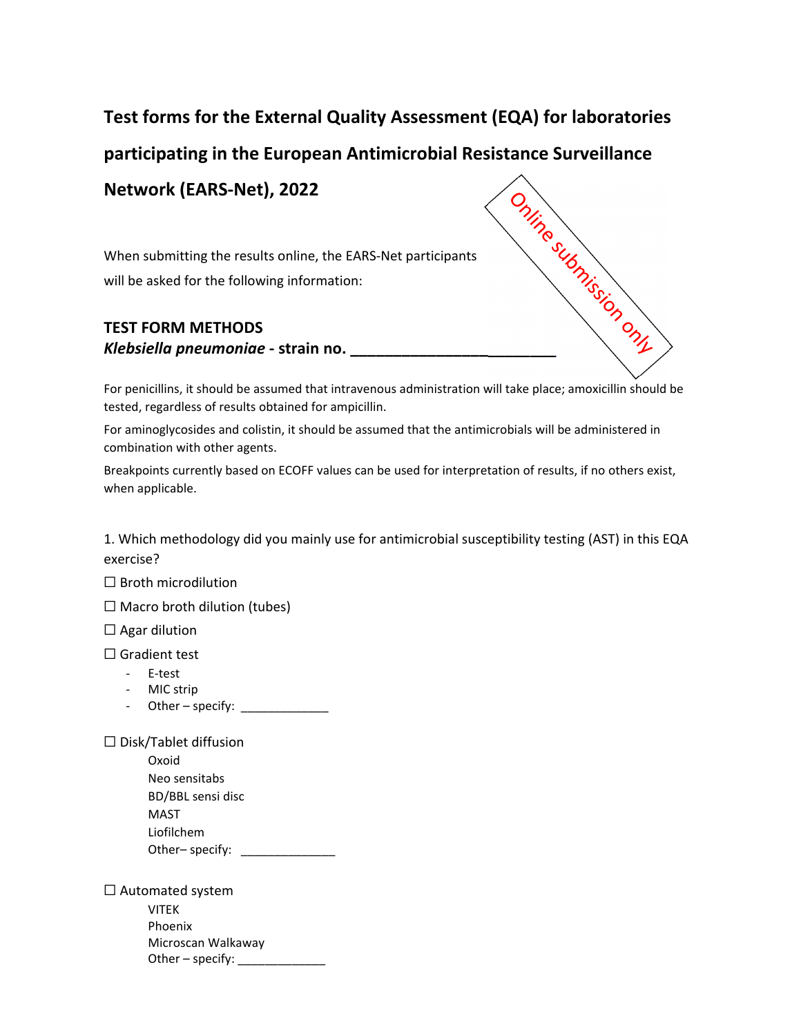## **Test forms for the External Quality Assessment (EQA) for laboratories**

**Network (EARS‐Net), 2022**

When submitting the results online, the EARS‐Net participants will be asked for the following information:

## **TEST FORM METHODS** *Klebsiella pneumoniae* **‐ strain no. \_\_\_\_\_\_\_\_\_\_\_\_\_\_\_\_\_\_\_\_\_\_\_\_**



For penicillins, it should be assumed that intravenous administration will take place; amoxicillin should be tested, regardless of results obtained for ampicillin.

For aminoglycosides and colistin, it should be assumed that the antimicrobials will be administered in combination with other agents.

Breakpoints currently based on ECOFF values can be used for interpretation of results, if no others exist, when applicable.

1. Which methodology did you mainly use for antimicrobial susceptibility testing (AST) in this EQA exercise?

☐ Broth microdilution

 $\Box$  Macro broth dilution (tubes)

 $\Box$  Agar dilution

☐ Gradient test

- ‐ E‐test
- ‐ MIC strip
- Other specify:

☐ Disk/Tablet diffusion

| Oxoid             |  |
|-------------------|--|
| Neo sensitabs     |  |
| BD/BBL sensi disc |  |
| MAST              |  |
| Liofilchem        |  |
| Other-specify:    |  |

 $\Box$  Automated system VITEK

Phoenix Microscan Walkaway Other – specify: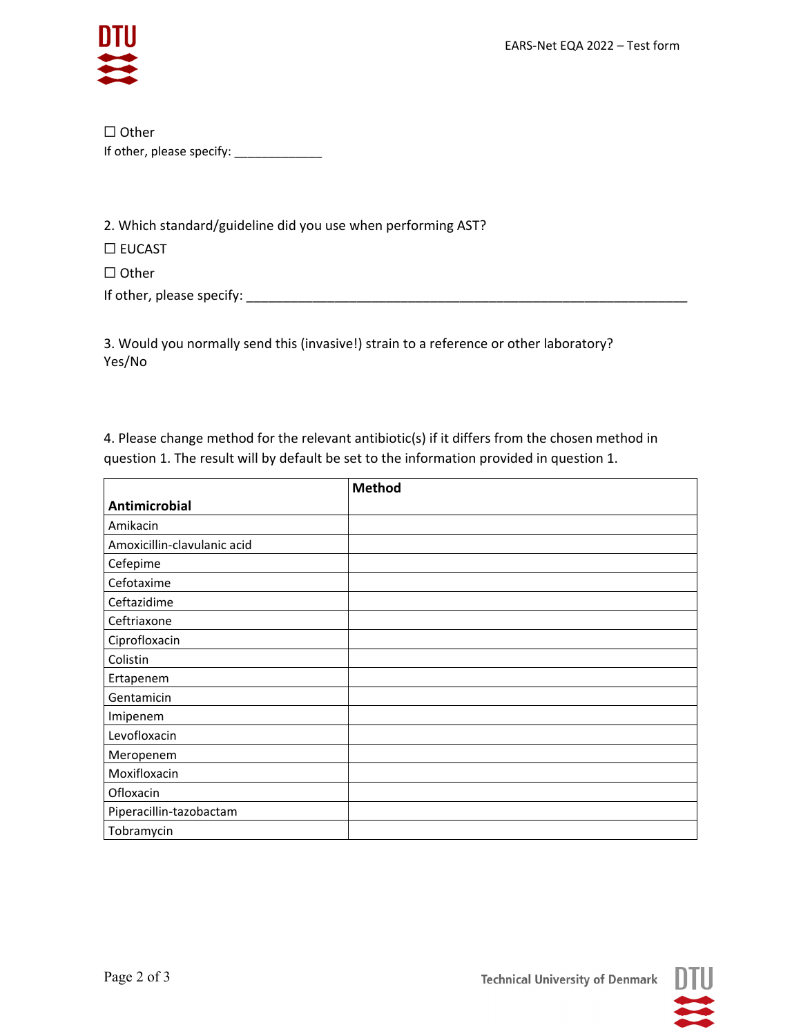

 $\Box$  Other If other, please specify: \_\_\_\_\_\_\_\_\_\_\_\_\_\_

2. Which standard/guideline did you use when performing AST?

 $\square$  EUCAST

 $\Box$  Other

3. Would you normally send this (invasive!) strain to a reference or other laboratory? Yes/No

4. Please change method for the relevant antibiotic(s) if it differs from the chosen method in question 1. The result will by default be set to the information provided in question 1.

|                             | <b>Method</b> |
|-----------------------------|---------------|
| <b>Antimicrobial</b>        |               |
| Amikacin                    |               |
| Amoxicillin-clavulanic acid |               |
| Cefepime                    |               |
| Cefotaxime                  |               |
| Ceftazidime                 |               |
| Ceftriaxone                 |               |
| Ciprofloxacin               |               |
| Colistin                    |               |
| Ertapenem                   |               |
| Gentamicin                  |               |
| Imipenem                    |               |
| Levofloxacin                |               |
| Meropenem                   |               |
| Moxifloxacin                |               |
| Ofloxacin                   |               |
| Piperacillin-tazobactam     |               |
| Tobramycin                  |               |